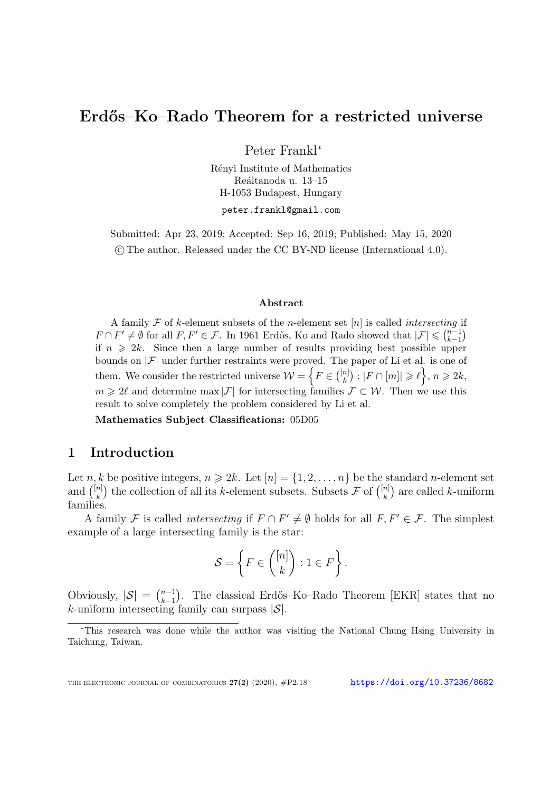# Erdős–Ko–Rado Theorem for a restricted universe

Peter Frankl<sup>∗</sup>

Rényi Institute of Mathematics Reáltanoda u.  $13-15$ H-1053 Budapest, Hungary

peter.frankl@gmail.com

Submitted: Apr 23, 2019; Accepted: Sep 16, 2019; Published: May 15, 2020 c The author. Released under the CC BY-ND license (International 4.0).

#### Abstract

A family  $\mathcal F$  of k-element subsets of the *n*-element set  $[n]$  is called *intersecting* if  $F \cap F' \neq \emptyset$  for all  $F, F' \in \mathcal{F}$ . In 1961 Erdős, Ko and Rado showed that  $|\mathcal{F}| \leqslant {n-1 \choose k-1}$  $\binom{n-1}{k-1}$ if  $n \geq 2k$ . Since then a large number of results providing best possible upper bounds on  $|\mathcal{F}|$  under further restraints were proved. The paper of Li et al. is one of them. We consider the restricted universe  $\mathcal{W} = \left\{ F \in \binom{[n]}{k} \right\}$  ${k \brack k} : |F \cap [m]| \geqslant \ell, n \geqslant 2k,$  $m \geq 2\ell$  and determine max  $|\mathcal{F}|$  for intersecting families  $\mathcal{F} \subset \mathcal{W}$ . Then we use this result to solve completely the problem considered by Li et al.

Mathematics Subject Classifications: 05D05

## 1 Introduction

Let n, k be positive integers,  $n \ge 2k$ . Let  $[n] = \{1, 2, ..., n\}$  be the standard n-element set and  $\binom{[n]}{k}$  $\binom{n}{k}$  the collection of all its *k*-element subsets. Subsets  $\mathcal F$  of  $\binom{[n]}{k}$  ${k \choose k}$  are called *k*-uniform families.

A family F is called *intersecting* if  $F \cap F' \neq \emptyset$  holds for all  $F, F' \in \mathcal{F}$ . The simplest example of a large intersecting family is the star:

$$
\mathcal{S} = \left\{ F \in \binom{[n]}{k} : 1 \in F \right\}.
$$

Obviously,  $|S| = \binom{n-1}{k-1}$ <sup>n-1</sup>). The classical Erdős–Ko–Rado Theorem [\[EKR\]](#page-4-0) states that no  $k$ -uniform intersecting family can surpass  $|\mathcal{S}|$ .

<sup>∗</sup>This research was done while the author was visiting the National Chung Hsing University in Taichung, Taiwan.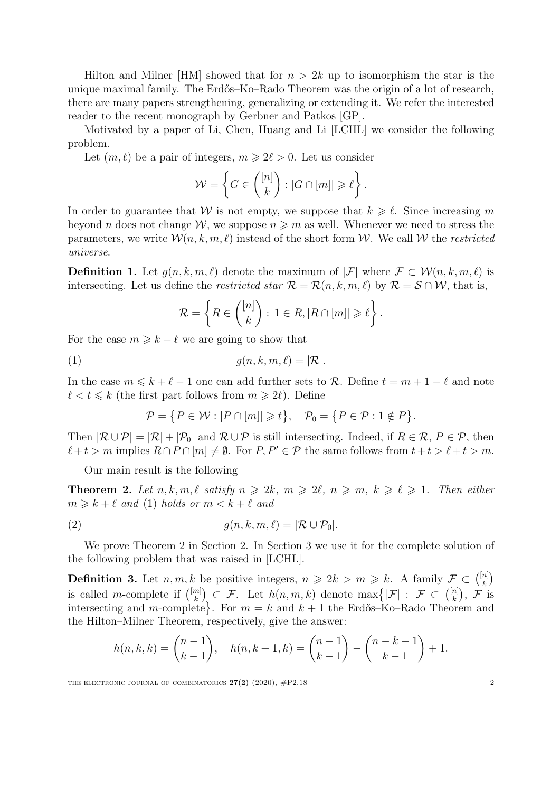Hilton and Milner  $\text{[HM]}$  $\text{[HM]}$  $\text{[HM]}$  showed that for  $n > 2k$  up to isomorphism the star is the unique maximal family. The Erdős–Ko–Rado Theorem was the origin of a lot of research, there are many papers strengthening, generalizing or extending it. We refer the interested reader to the recent monograph by Gerbner and Patkos [\[GP\]](#page-4-2).

Motivated by a paper of Li, Chen, Huang and Li [\[LCHL\]](#page-4-3) we consider the following problem.

Let  $(m, \ell)$  be a pair of integers,  $m \geq 2\ell > 0$ . Let us consider

$$
\mathcal{W} = \left\{ G \in \binom{[n]}{k} : |G \cap [m]| \geq \ell \right\}.
$$

In order to guarantee that W is not empty, we suppose that  $k \geq \ell$ . Since increasing m beyond n does not change  $W$ , we suppose  $n \geq m$  as well. Whenever we need to stress the parameters, we write  $\mathcal{W}(n, k, m, \ell)$  instead of the short form W. We call W the restricted universe.

**Definition 1.** Let  $g(n, k, m, \ell)$  denote the maximum of  $|\mathcal{F}|$  where  $\mathcal{F} \subset \mathcal{W}(n, k, m, \ell)$  is intersecting. Let us define the *restricted star*  $\mathcal{R} = \mathcal{R}(n, k, m, \ell)$  by  $\mathcal{R} = \mathcal{S} \cap \mathcal{W}$ , that is,

<span id="page-1-0"></span>
$$
\mathcal{R} = \left\{ R \in \binom{[n]}{k} : 1 \in R, |R \cap [m]| \geq \ell \right\}.
$$

For the case  $m \geq k + \ell$  we are going to show that

$$
(1) \t g(n,k,m,\ell) = |\mathcal{R}|.
$$

In the case  $m \leq k + \ell - 1$  one can add further sets to R. Define  $t = m + 1 - \ell$  and note  $\ell < t \leq k$  (the first part follows from  $m \geq 2\ell$ ). Define

<span id="page-1-2"></span>
$$
\mathcal{P} = \{ P \in \mathcal{W} : |P \cap [m]| \geq t \}, \quad \mathcal{P}_0 = \{ P \in \mathcal{P} : 1 \notin P \}.
$$

Then  $|\mathcal{R} \cup \mathcal{P}| = |\mathcal{R}| + |\mathcal{P}_0|$  and  $\mathcal{R} \cup \mathcal{P}$  is still intersecting. Indeed, if  $R \in \mathcal{R}, P \in \mathcal{P}$ , then  $\ell+t > m$  implies  $R \cap P \cap [m] \neq \emptyset$ . For  $P, P' \in \mathcal{P}$  the same follows from  $t+t > \ell+t > m$ .

Our main result is the following

<span id="page-1-1"></span>**Theorem 2.** Let  $n, k, m, \ell$  satisfy  $n \geq 2k, m \geq 2\ell, n \geq m, k \geq \ell \geq 1$ . Then either  $m \geq k + \ell$  and [\(1\)](#page-1-0) holds or  $m < k + \ell$  and

(2) 
$$
g(n,k,m,\ell) = |\mathcal{R} \cup \mathcal{P}_0|.
$$

We prove Theorem [2](#page-1-1) in Section [2.](#page-2-0) In Section 3 we use it for the complete solution of the following problem that was raised in [\[LCHL\]](#page-4-3).

**Definition 3.** Let  $n, m, k$  be positive integers,  $n \geq 2k > m \geq k$ . A family  $\mathcal{F} \subset \binom{[n]}{k}$  $\binom{n}{k}$ is called *m*-complete if  $\binom{[m]}{k}$  $\binom{[m]}{k} \subset \mathcal{F}$ . Let  $h(n, m, k)$  denote  $\max\{| \mathcal{F} | : \mathcal{F} \subset \binom{[n]}{k} \}$  $\binom{n}{k},~$   $\mathcal F~$  is intersecting and m-complete. For  $m = k$  and  $k + 1$  the Erdős–Ko–Rado Theorem and the Hilton–Milner Theorem, respectively, give the answer:

$$
h(n,k,k) = {n-1 \choose k-1}, \quad h(n,k+1,k) = {n-1 \choose k-1} - {n-k-1 \choose k-1} + 1.
$$

THE ELECTRONIC JOURNAL OF COMBINATORICS  $27(2)$  (2020),  $\#P2.18$  2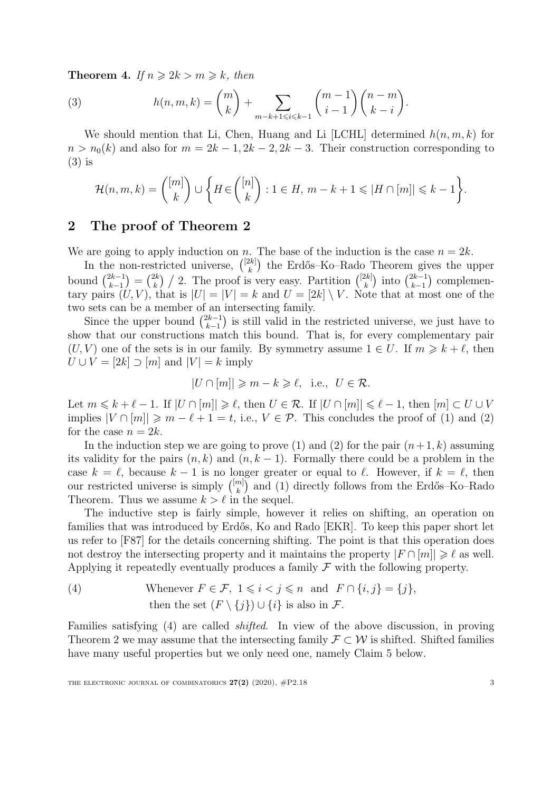<span id="page-2-3"></span><span id="page-2-1"></span>**Theorem 4.** If  $n \geq 2k > m \geq k$ , then

(3) 
$$
h(n,m,k) = {m \choose k} + \sum_{m-k+1 \leq i \leq k-1} {m-1 \choose i-1} {n-m \choose k-i}.
$$

We should mention that Li, Chen, Huang and Li [\[LCHL\]](#page-4-3) determined  $h(n, m, k)$  for  $n > n_0(k)$  and also for  $m = 2k - 1, 2k - 2, 2k - 3$ . Their construction corresponding to [\(3\)](#page-2-1) is

$$
\mathcal{H}(n,m,k) = \binom{[m]}{k} \cup \left\{ H \in \binom{[n]}{k} : 1 \in H, m-k+1 \leq |H \cap [m]| \leq k-1 \right\}.
$$

## <span id="page-2-0"></span>2 The proof of Theorem [2](#page-1-1)

We are going to apply induction on n. The base of the induction is the case  $n = 2k$ .

In the non-restricted universe,  $\binom{[2k]}{k}$  $\binom{2k}{k}$  the Erdős–Ko–Rado Theorem gives the upper bound  $\binom{2k-1}{k-1}$  $\binom{2k-1}{k-1} = \binom{2k}{k}$  $\binom{2k}{k}$  / 2. The proof is very easy. Partition  $\binom{[2k]}{k}$  $\binom{2k}{k}$  into  $\binom{2k-1}{k-1}$  $\binom{2k-1}{k-1}$  complementary pairs  $(U, V)$ , that is  $|U| = |V| = k$  and  $U = [2k] \setminus V$ . Note that at most one of the two sets can be a member of an intersecting family.

Since the upper bound  $\binom{2k-1}{k-1}$  $\binom{2k-1}{k-1}$  is still valid in the restricted universe, we just have to show that our constructions match this bound. That is, for every complementary pair  $(U, V)$  one of the sets is in our family. By symmetry assume  $1 \in U$ . If  $m \geq k + \ell$ , then  $U \cup V = [2k] \supset [m]$  and  $|V| = k$  imply

$$
|U \cap [m]| \geq m - k \geq \ell, \text{ i.e., } U \in \mathcal{R}.
$$

Let  $m \leq k + \ell - 1$ . If  $|U \cap [m]| \geq \ell$ , then  $U \in \mathcal{R}$ . If  $|U \cap [m]| \leq \ell - 1$ , then  $[m] \subset U \cup V$ implies  $|V \cap [m]| \geq m - \ell + 1 = t$ , i.e.,  $V \in \mathcal{P}$ . This concludes the proof of [\(1\)](#page-1-0) and [\(2\)](#page-1-2) for the case  $n = 2k$ .

In the induction step we are going to prove [\(1\)](#page-1-0) and [\(2\)](#page-1-2) for the pair  $(n+1, k)$  assuming its validity for the pairs  $(n, k)$  and  $(n, k - 1)$ . Formally there could be a problem in the case  $k = \ell$ , because  $k - 1$  is no longer greater or equal to  $\ell$ . However, if  $k = \ell$ , then our restricted universe is simply  $\binom{[m]}{k}$  $\binom{m}{k}$  and [\(1\)](#page-1-0) directly follows from the Erdős–Ko–Rado Theorem. Thus we assume  $k > \ell$  in the sequel.

The inductive step is fairly simple, however it relies on shifting, an operation on families that was introduced by Erdős, Ko and Rado [\[EKR\]](#page-4-0). To keep this paper short let us refer to [\[F87\]](#page-4-4) for the details concerning shifting. The point is that this operation does not destroy the intersecting property and it maintains the property  $|F \cap [m]| \geq \ell$  as well. Applying it repeatedly eventually produces a family  $\mathcal F$  with the following property.

<span id="page-2-2"></span>(4) Whenever 
$$
F \in \mathcal{F}
$$
,  $1 \le i < j \le n$  and  $F \cap \{i, j\} = \{j\}$ ,  
then the set  $(F \setminus \{j\}) \cup \{i\}$  is also in  $\mathcal{F}$ .

Families satisfying [\(4\)](#page-2-2) are called shifted. In view of the above discussion, in proving Theorem [2](#page-1-1) we may assume that the intersecting family  $\mathcal{F} \subset \mathcal{W}$  is shifted. Shifted families have many useful properties but we only need one, namely Claim [5](#page-3-0) below.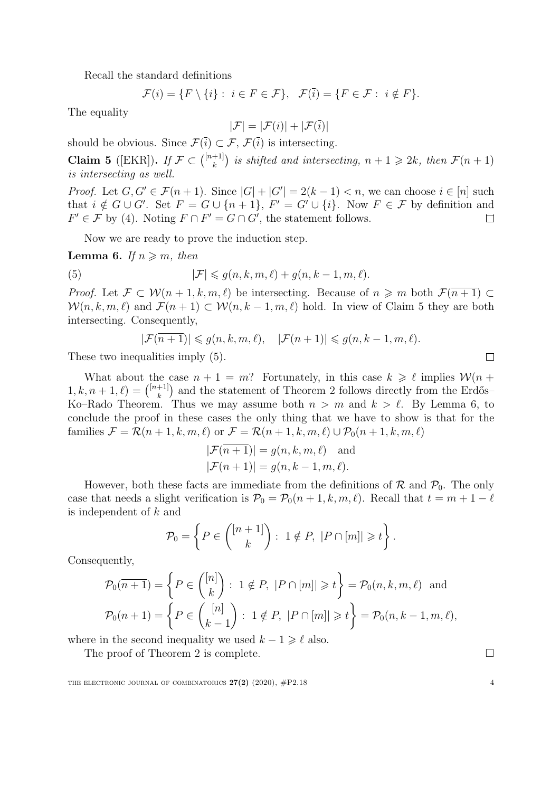Recall the standard definitions

$$
\mathcal{F}(i) = \{F \setminus \{i\} : i \in F \in \mathcal{F}\}, \ \mathcal{F}(\overline{i}) = \{F \in \mathcal{F} : i \notin F\}.
$$

The equality

$$
|\mathcal{F}| = |\mathcal{F}(i)| + |\mathcal{F}(\overline{i})|
$$

should be obvious. Since  $\mathcal{F}(\bar{i}) \subset \mathcal{F}, \mathcal{F}(\bar{i})$  is intersecting.

<span id="page-3-0"></span>Claim 5 ([\[EKR\]](#page-4-0)). If  $\mathcal{F} \subset \binom{[n+1]}{k}$  $\binom{+1}{k}$  is shifted and intersecting,  $n + 1 \geqslant 2k$ , then  $\mathcal{F}(n + 1)$ is intersecting as well.

*Proof.* Let  $G, G' \in \mathcal{F}(n+1)$ . Since  $|G| + |G'| = 2(k-1) < n$ , we can choose  $i \in [n]$  such that  $i \notin G \cup G'$ . Set  $F = G \cup \{n+1\}$ ,  $F' = G' \cup \{i\}$ . Now  $F \in \mathcal{F}$  by definition and  $F' \in \mathcal{F}$  by [\(4\)](#page-2-2). Noting  $F \cap F' = G \cap G'$ , the statement follows.  $\Box$ 

Now we are ready to prove the induction step.

<span id="page-3-2"></span>**Lemma 6.** If  $n \geq m$ , then

(5) 
$$
|\mathcal{F}| \leqslant g(n,k,m,\ell) + g(n,k-1,m,\ell).
$$

*Proof.* Let  $\mathcal{F} \subset \mathcal{W}(n+1,k,m,\ell)$  be intersecting. Because of  $n \geq m$  both  $\mathcal{F}(n+1) \subset$  $W(n, k, m, \ell)$  and  $\mathcal{F}(n + 1) \subset \mathcal{W}(n, k - 1, m, \ell)$  hold. In view of Claim [5](#page-3-0) they are both intersecting. Consequently,

<span id="page-3-1"></span>
$$
|\mathcal{F}(\overline{n+1})| \leqslant g(n,k,m,\ell), \quad |\mathcal{F}(n+1)| \leqslant g(n,k-1,m,\ell).
$$

These two inequalities imply [\(5\)](#page-3-1).

What about the case  $n + 1 = m$ ? Fortunately, in this case  $k \geq \ell$  implies  $W(n +$  $1, k, n + 1, \ell$  =  $\binom{[n+1]}{k}$  $\binom{+1}{k}$  and the statement of Theorem [2](#page-1-1) follows directly from the Erdős– Ko–Rado Theorem. Thus we may assume both  $n > m$  and  $k > \ell$ . By Lemma [6,](#page-3-2) to conclude the proof in these cases the only thing that we have to show is that for the families  $\mathcal{F} = \mathcal{R}(n+1,k,m,\ell)$  or  $\mathcal{F} = \mathcal{R}(n+1,k,m,\ell) \cup \mathcal{P}_0(n+1,k,m,\ell)$ 

$$
|\mathcal{F}(\overline{n+1})| = g(n, k, m, \ell) \text{ and}
$$
  

$$
|\mathcal{F}(n+1)| = g(n, k-1, m, \ell).
$$

However, both these facts are immediate from the definitions of  $\mathcal{R}$  and  $\mathcal{P}_0$ . The only case that needs a slight verification is  $\mathcal{P}_0 = \mathcal{P}_0(n+1, k, m, \ell)$ . Recall that  $t = m + 1 - \ell$ is independent of k and

$$
\mathcal{P}_0 = \left\{ P \in \binom{[n+1]}{k} : 1 \notin P, \ |P \cap [m]| \geq t \right\}.
$$

Consequently,

$$
\mathcal{P}_0(\overline{n+1}) = \left\{ P \in \binom{[n]}{k} : 1 \notin P, \ |P \cap [m]| \ge t \right\} = \mathcal{P}_0(n, k, m, \ell) \text{ and}
$$

$$
\mathcal{P}_0(n+1) = \left\{ P \in \binom{[n]}{k-1} : 1 \notin P, \ |P \cap [m]| \ge t \right\} = \mathcal{P}_0(n, k-1, m, \ell),
$$

where in the second inequality we used  $k - 1 \geq \ell$  also.

The proof of Theorem [2](#page-1-1) is complete.

THE ELECTRONIC JOURNAL OF COMBINATORICS  $27(2)$  (2020),  $\#P2.18$  4

 $\Box$